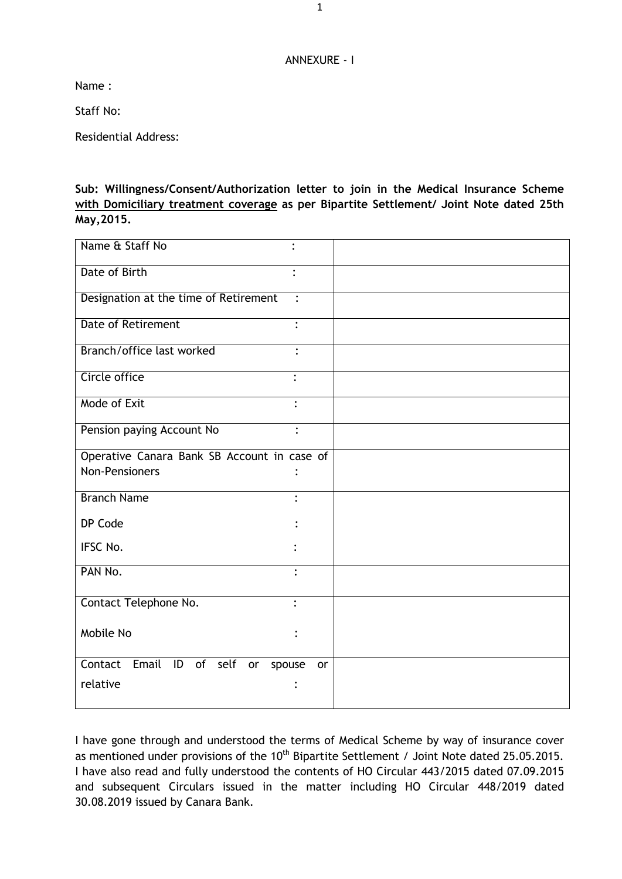## ANNEXURE - I

Name :

Staff No:

Residential Address:

**Sub: Willingness/Consent/Authorization letter to join in the Medical Insurance Scheme with Domiciliary treatment coverage as per Bipartite Settlement/ Joint Note dated 25th May,2015.**

| Name & Staff No                             |                |
|---------------------------------------------|----------------|
| Date of Birth                               | $\ddot{\cdot}$ |
| Designation at the time of Retirement       | $\ddot{\cdot}$ |
| <b>Date of Retirement</b>                   | $\ddot{\cdot}$ |
| Branch/office last worked                   | $\ddot{\cdot}$ |
| Circle office                               |                |
| Mode of Exit                                | $\ddot{\cdot}$ |
| Pension paying Account No                   | $\ddot{\cdot}$ |
| Operative Canara Bank SB Account in case of |                |
| <b>Non-Pensioners</b>                       |                |
| <b>Branch Name</b>                          |                |
| DP Code                                     |                |
| IFSC No.                                    |                |
| PAN No.                                     | $\bullet$      |
| Contact Telephone No.                       | $\ddot{\cdot}$ |
| Mobile No                                   |                |
| Contact<br>Email ID of self<br>or<br>spouse | or             |
| relative                                    |                |

I have gone through and understood the terms of Medical Scheme by way of insurance cover as mentioned under provisions of the 10<sup>th</sup> Bipartite Settlement / Joint Note dated 25.05.2015. I have also read and fully understood the contents of HO Circular 443/2015 dated 07.09.2015 and subsequent Circulars issued in the matter including HO Circular 448/2019 dated 30.08.2019 issued by Canara Bank.